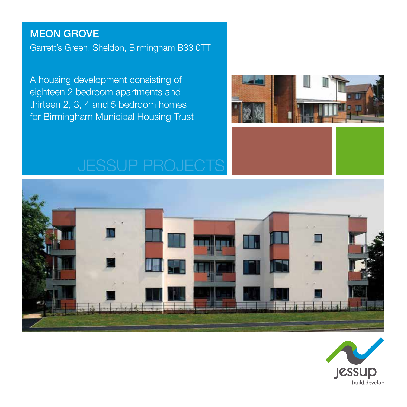#### MEON GROVE

Garrett's Green, Sheldon, Birmingham B33 0TT

A housing development consisting of eighteen 2 bedroom apartments and thirteen 2, 3, 4 and 5 bedroom homes for Birmingham Municipal Housing Trust





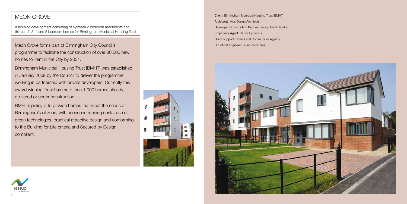



A housing development consisting of eighteen 2 bedroom apartments and thirteen 2, 3, 4 and 5 bedroom homes for Birmingham Municipal Housing Trust

## MEON GROVE

Meon Grove forms part of Birmingham City Council's programme to facilitate the construction of over 80,000 new homes for rent in the City by 2031.

Birmingham Municipal Housing Trust [BMHT] was established in January 2009 by the Council to deliver the programme working in partnership with private developers. Currently this award winning Trust has more than 1,000 homes already delivered or under construction.

BMHT's policy is to provide homes that meet the needs of Birmingham's citizens, with economic running costs, use of green technologies, practical attractive design and conforming to the Building for Life criteria and Secured by Design compliant.



Client: Birmingham Municipal Housing Trust [BMHT] Architects: Axis Design Architects Developer Construction Partner: Jessup Build Develop Employers Agent: Capita Symonds Grant support: Homes and Communities Agency Structural Engineer: Stuart and Harris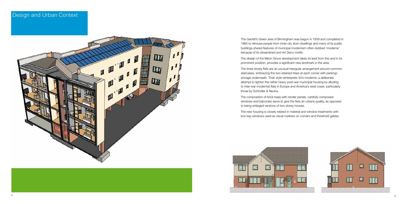

The Garrett's Green area of Birmingham was begun in 1939 and completed in 1960 to rehouse people from inner-city slum dwellings and many of its public buildings shared features of municipal modernism often dubbed 'moderne' because of its streamlined and Art Deco motifs.

The design of the Meon Grove development takes its lead from this and in its prominent position, provides a significant new landmark in the area.

The three storey flats are an unusual triangular arrangement around common staircases, embracing the two retained trees at each corner with parking/ storage underneath. Their style reinterprets 30's moderne, a deliberate attempt to lighten the rather heavy post-war municipal housing by alluding to inter-war modernist flats in Europe and America's west coast, particularly those by Schindler & Neutra.

The composition of brick base with render panels, carefully composed windows and balconies serve to give the flats an urbane quality, as opposed to being enlarged versions of two storey houses.

The new housing is closely related in material and window treatments with box bay windows used as visual markers on corners and threshold gables.

#### Design and Urban Context

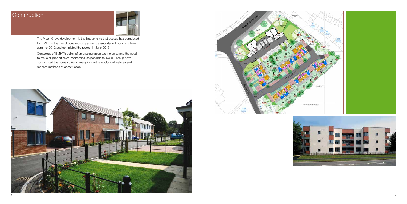# **Construction**



The Meon Grove development is the first scheme that Jessup has completed for BMHT in the role of construction partner. Jessup started work on site in summer 2012 and completed the project in June 2013.

Conscious of BMHT's policy of embracing green technologies and the need to make all properties as economical as possible to live in. Jessup have constructed the homes utilising many innovative ecological features and modern methods of construction.







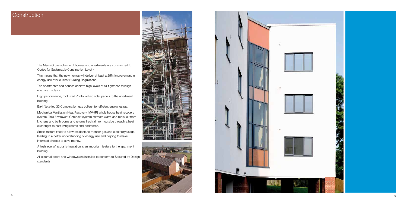

## **Construction**

The Meon Grove scheme of houses and apartments are constructed to Codes for Sustainable Construction Level 4.

This means that the new homes will deliver at least a 25% improvement in energy use over current Building Regulations.

The apartments and houses achieve high levels of air tightness through effective insulation.

High performance, roof fixed Photo Voltaic solar panels to the apartment building.

Baxi Neta-tec 33 Combination gas boilers, for efficient energy usage.

Mechanical Ventilation Heat Recovery [MVHR] whole house heat recovery system. This Envirovent Compakt system extracts warm and moist air from kitchens and bathrooms and returns fresh air from outside through a heat exchanger to heat living rooms and bedrooms.

Smart meters fitted to allow residents to monitor gas and electricity usage, leading to a better understanding of energy use and helping to make informed choices to save money.

A high level of acoustic insulation is an important feature to the apartment building.

All external doors and windows are installed to conform to Secured by Design standards.



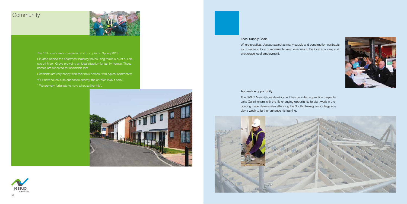# **Community**



The 13 houses were completed and occupied in Spring 2013.

Situated behind the apartment building the housing forms a quiet cul-desac off Meon Grove providing an ideal situation for family homes. These homes are allocated for affordable rent.

Residents are very happy with their new homes, with typical comments: "Our new house suits our needs exactly, the children love it here".

" We are very fortunate to have a house like this".





#### Local Supply Chain

Where practical, Jessup award as many supply and construction contracts as possible to local companies to keep revenues in the local economy and encourage local employment.

#### Apprentice opportunity

The BMHT Meon Grove development has provided apprentice carpenter Jake Cunningham with the life changing opportunity to start work in the building trade. Jake is also attending the South Birmingham College one day a week to further enhance his training.